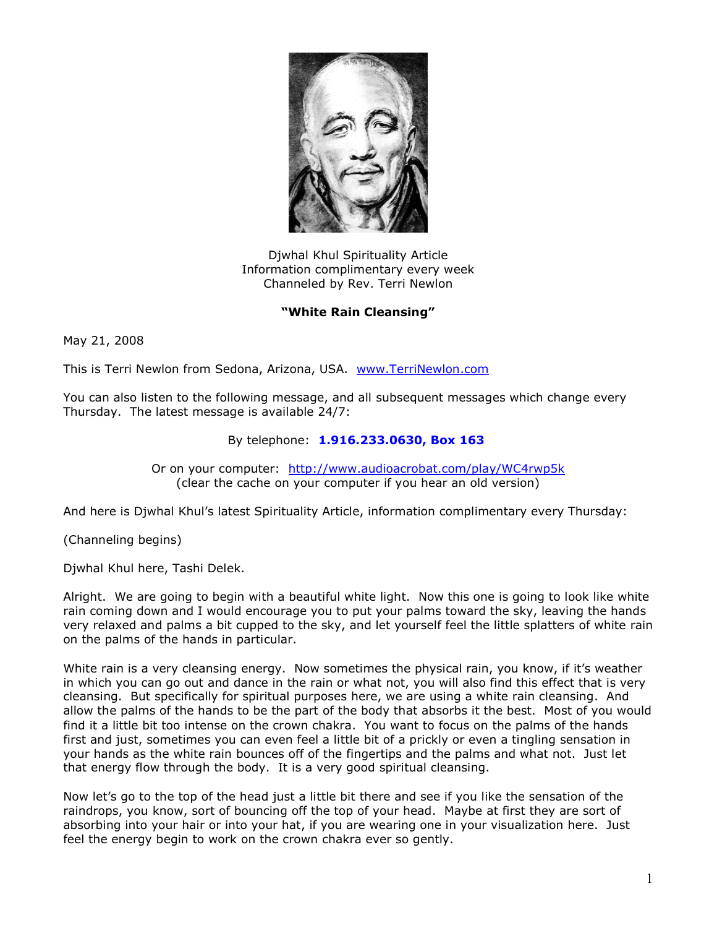

Djwhal Khul Spirituality Article Information complimentary every week Channeled by Rev. Terri Newlon

## **"White Rain Cleansing"**

May 21, 2008

This is Terri Newlon from Sedona, Arizona, USA. [www.TerriNewlon.com](http://www.terrinewlon.com/)

You can also listen to the following message, and all subsequent messages which change every Thursday. The latest message is available 24/7:

## By telephone: **1.916.233.0630, Box 163**

Or on your computer: <http://www.audioacrobat.com/play/WC4rwp5k> (clear the cache on your computer if you hear an old version)

And here is Djwhal Khul's latest Spirituality Article, information complimentary every Thursday:

(Channeling begins)

Djwhal Khul here, Tashi Delek.

Alright. We are going to begin with a beautiful white light. Now this one is going to look like white rain coming down and I would encourage you to put your palms toward the sky, leaving the hands very relaxed and palms a bit cupped to the sky, and let yourself feel the little splatters of white rain on the palms of the hands in particular.

White rain is a very cleansing energy. Now sometimes the physical rain, you know, if it's weather in which you can go out and dance in the rain or what not, you will also find this effect that is very cleansing. But specifically for spiritual purposes here, we are using a white rain cleansing. And allow the palms of the hands to be the part of the body that absorbs it the best. Most of you would find it a little bit too intense on the crown chakra. You want to focus on the palms of the hands first and just, sometimes you can even feel a little bit of a prickly or even a tingling sensation in your hands as the white rain bounces off of the fingertips and the palms and what not. Just let that energy flow through the body. It is a very good spiritual cleansing.

Now let's go to the top of the head just a little bit there and see if you like the sensation of the raindrops, you know, sort of bouncing off the top of your head. Maybe at first they are sort of absorbing into your hair or into your hat, if you are wearing one in your visualization here. Just feel the energy begin to work on the crown chakra ever so gently.